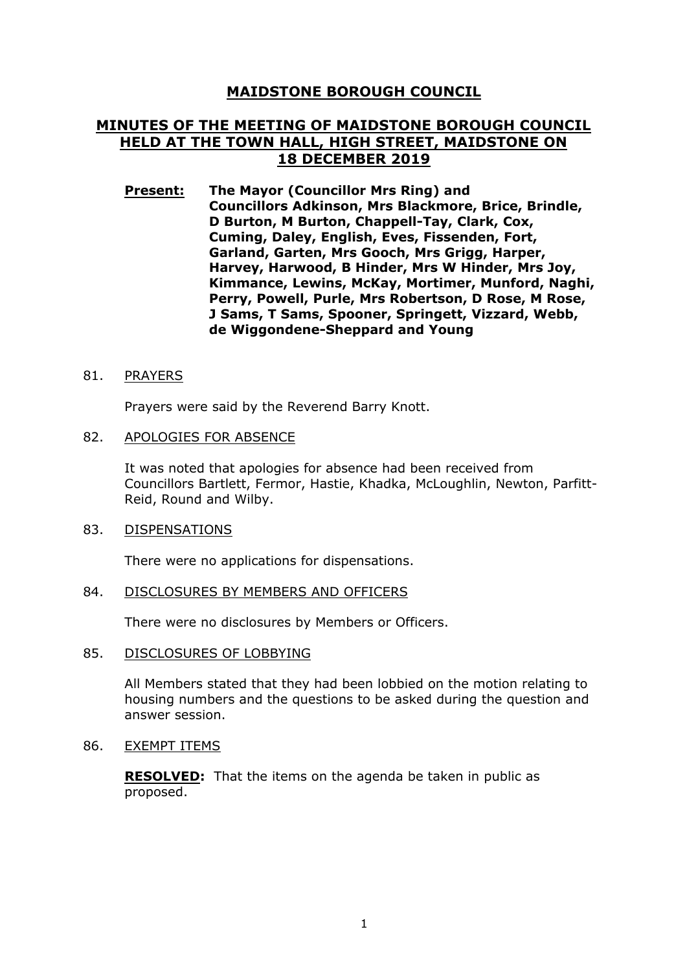# **MAIDSTONE BOROUGH COUNCIL**

# **MINUTES OF THE MEETING OF MAIDSTONE BOROUGH COUNCIL HELD AT THE TOWN HALL, HIGH STREET, MAIDSTONE ON 18 DECEMBER 2019**

**Present: The Mayor (Councillor Mrs Ring) and Councillors Adkinson, Mrs Blackmore, Brice, Brindle, D Burton, M Burton, Chappell-Tay, Clark, Cox, Cuming, Daley, English, Eves, Fissenden, Fort, Garland, Garten, Mrs Gooch, Mrs Grigg, Harper, Harvey, Harwood, B Hinder, Mrs W Hinder, Mrs Joy, Kimmance, Lewins, McKay, Mortimer, Munford, Naghi, Perry, Powell, Purle, Mrs Robertson, D Rose, M Rose, J Sams, T Sams, Spooner, Springett, Vizzard, Webb, de Wiggondene-Sheppard and Young**

#### 81. PRAYERS

Prayers were said by the Reverend Barry Knott.

#### 82. APOLOGIES FOR ABSENCE

It was noted that apologies for absence had been received from Councillors Bartlett, Fermor, Hastie, Khadka, McLoughlin, Newton, Parfitt-Reid, Round and Wilby.

#### 83. DISPENSATIONS

There were no applications for dispensations.

#### 84. DISCLOSURES BY MEMBERS AND OFFICERS

There were no disclosures by Members or Officers.

#### 85. DISCLOSURES OF LOBBYING

All Members stated that they had been lobbied on the motion relating to housing numbers and the questions to be asked during the question and answer session.

#### 86. EXEMPT ITEMS

**RESOLVED:** That the items on the agenda be taken in public as proposed.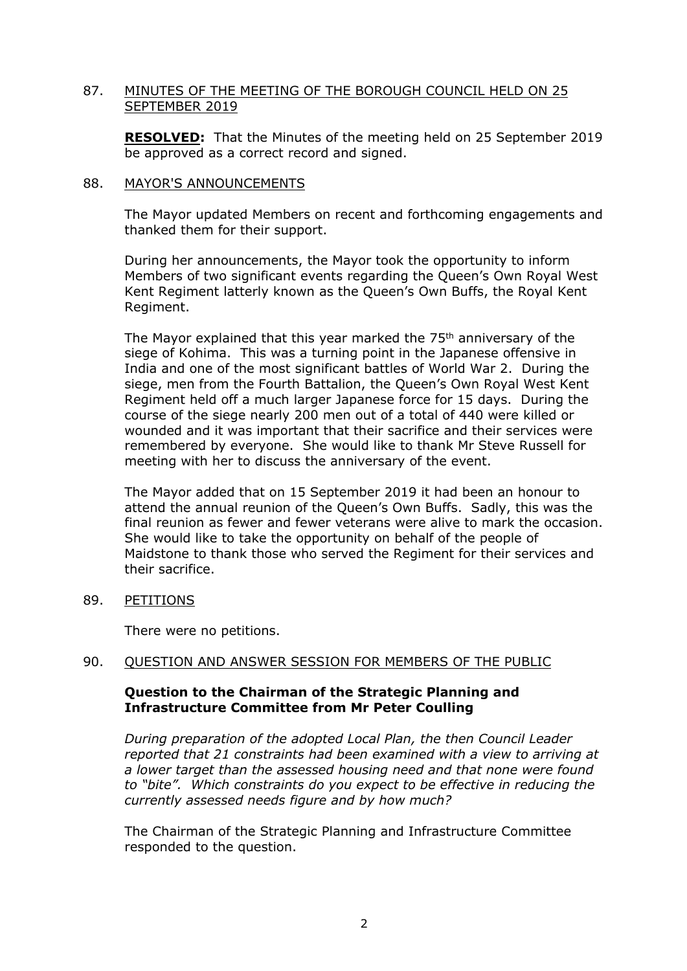# 87. MINUTES OF THE MEETING OF THE BOROUGH COUNCIL HELD ON 25 SEPTEMBER 2019

**RESOLVED:** That the Minutes of the meeting held on 25 September 2019 be approved as a correct record and signed.

#### 88. MAYOR'S ANNOUNCEMENTS

The Mayor updated Members on recent and forthcoming engagements and thanked them for their support.

During her announcements, the Mayor took the opportunity to inform Members of two significant events regarding the Queen's Own Royal West Kent Regiment latterly known as the Queen's Own Buffs, the Royal Kent Regiment.

The Mayor explained that this year marked the 75<sup>th</sup> anniversary of the siege of Kohima. This was a turning point in the Japanese offensive in India and one of the most significant battles of World War 2. During the siege, men from the Fourth Battalion, the Queen's Own Royal West Kent Regiment held off a much larger Japanese force for 15 days. During the course of the siege nearly 200 men out of a total of 440 were killed or wounded and it was important that their sacrifice and their services were remembered by everyone. She would like to thank Mr Steve Russell for meeting with her to discuss the anniversary of the event.

The Mayor added that on 15 September 2019 it had been an honour to attend the annual reunion of the Queen's Own Buffs. Sadly, this was the final reunion as fewer and fewer veterans were alive to mark the occasion. She would like to take the opportunity on behalf of the people of Maidstone to thank those who served the Regiment for their services and their sacrifice.

89. PETITIONS

There were no petitions.

### 90. QUESTION AND ANSWER SESSION FOR MEMBERS OF THE PUBLIC

# **Question to the Chairman of the Strategic Planning and Infrastructure Committee from Mr Peter Coulling**

*During preparation of the adopted Local Plan, the then Council Leader reported that 21 constraints had been examined with a view to arriving at a lower target than the assessed housing need and that none were found to "bite". Which constraints do you expect to be effective in reducing the currently assessed needs figure and by how much?*

The Chairman of the Strategic Planning and Infrastructure Committee responded to the question.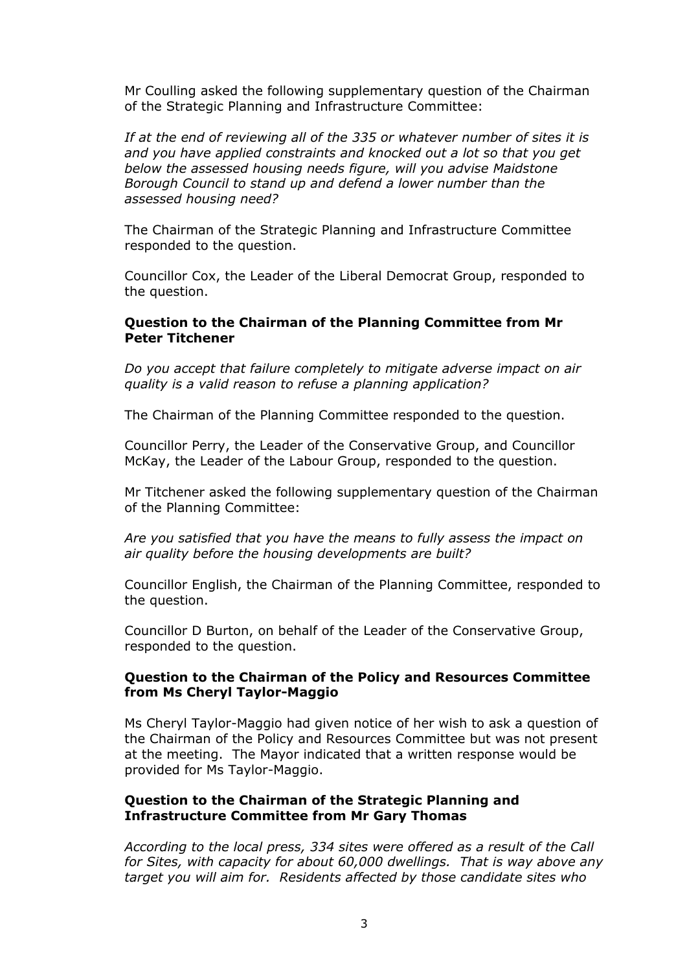Mr Coulling asked the following supplementary question of the Chairman of the Strategic Planning and Infrastructure Committee:

*If at the end of reviewing all of the 335 or whatever number of sites it is and you have applied constraints and knocked out a lot so that you get below the assessed housing needs figure, will you advise Maidstone Borough Council to stand up and defend a lower number than the assessed housing need?*

The Chairman of the Strategic Planning and Infrastructure Committee responded to the question.

Councillor Cox, the Leader of the Liberal Democrat Group, responded to the question.

### **Question to the Chairman of the Planning Committee from Mr Peter Titchener**

*Do you accept that failure completely to mitigate adverse impact on air quality is a valid reason to refuse a planning application?*

The Chairman of the Planning Committee responded to the question.

Councillor Perry, the Leader of the Conservative Group, and Councillor McKay, the Leader of the Labour Group, responded to the question.

Mr Titchener asked the following supplementary question of the Chairman of the Planning Committee:

*Are you satisfied that you have the means to fully assess the impact on air quality before the housing developments are built?*

Councillor English, the Chairman of the Planning Committee, responded to the question.

Councillor D Burton, on behalf of the Leader of the Conservative Group, responded to the question.

### **Question to the Chairman of the Policy and Resources Committee from Ms Cheryl Taylor-Maggio**

Ms Cheryl Taylor-Maggio had given notice of her wish to ask a question of the Chairman of the Policy and Resources Committee but was not present at the meeting. The Mayor indicated that a written response would be provided for Ms Taylor-Maggio.

### **Question to the Chairman of the Strategic Planning and Infrastructure Committee from Mr Gary Thomas**

*According to the local press, 334 sites were offered as a result of the Call for Sites, with capacity for about 60,000 dwellings. That is way above any target you will aim for. Residents affected by those candidate sites who*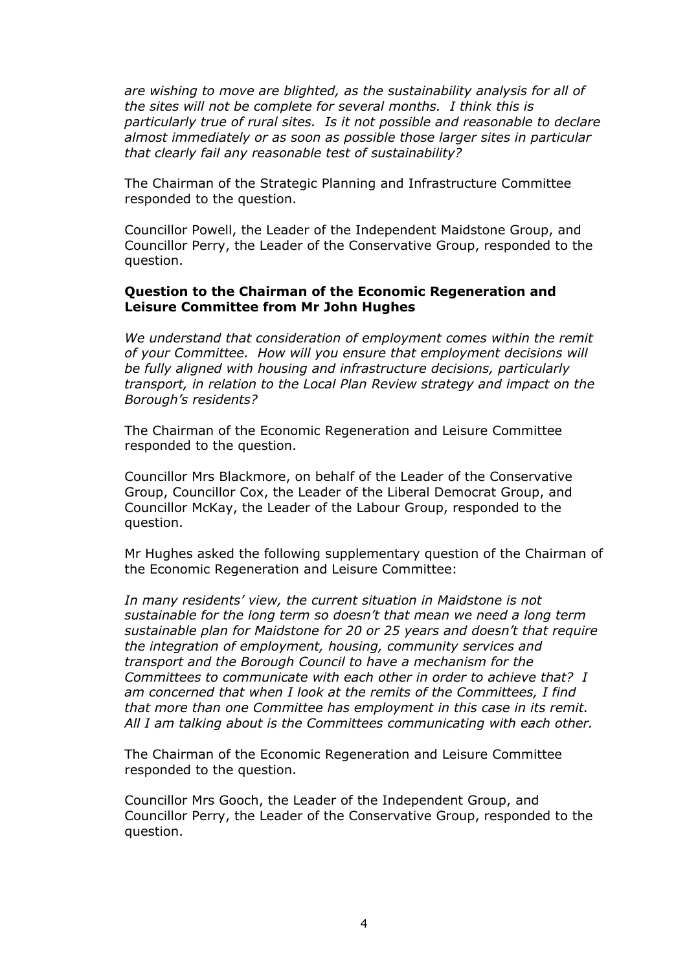*are wishing to move are blighted, as the sustainability analysis for all of the sites will not be complete for several months. I think this is particularly true of rural sites. Is it not possible and reasonable to declare almost immediately or as soon as possible those larger sites in particular that clearly fail any reasonable test of sustainability?*

The Chairman of the Strategic Planning and Infrastructure Committee responded to the question.

Councillor Powell, the Leader of the Independent Maidstone Group, and Councillor Perry, the Leader of the Conservative Group, responded to the question.

#### **Question to the Chairman of the Economic Regeneration and Leisure Committee from Mr John Hughes**

*We understand that consideration of employment comes within the remit of your Committee. How will you ensure that employment decisions will be fully aligned with housing and infrastructure decisions, particularly transport, in relation to the Local Plan Review strategy and impact on the Borough's residents?*

The Chairman of the Economic Regeneration and Leisure Committee responded to the question.

Councillor Mrs Blackmore, on behalf of the Leader of the Conservative Group, Councillor Cox, the Leader of the Liberal Democrat Group, and Councillor McKay, the Leader of the Labour Group, responded to the question.

Mr Hughes asked the following supplementary question of the Chairman of the Economic Regeneration and Leisure Committee:

*In many residents' view, the current situation in Maidstone is not sustainable for the long term so doesn't that mean we need a long term sustainable plan for Maidstone for 20 or 25 years and doesn't that require the integration of employment, housing, community services and transport and the Borough Council to have a mechanism for the Committees to communicate with each other in order to achieve that? I am concerned that when I look at the remits of the Committees, I find that more than one Committee has employment in this case in its remit. All I am talking about is the Committees communicating with each other.*

The Chairman of the Economic Regeneration and Leisure Committee responded to the question.

Councillor Mrs Gooch, the Leader of the Independent Group, and Councillor Perry, the Leader of the Conservative Group, responded to the question.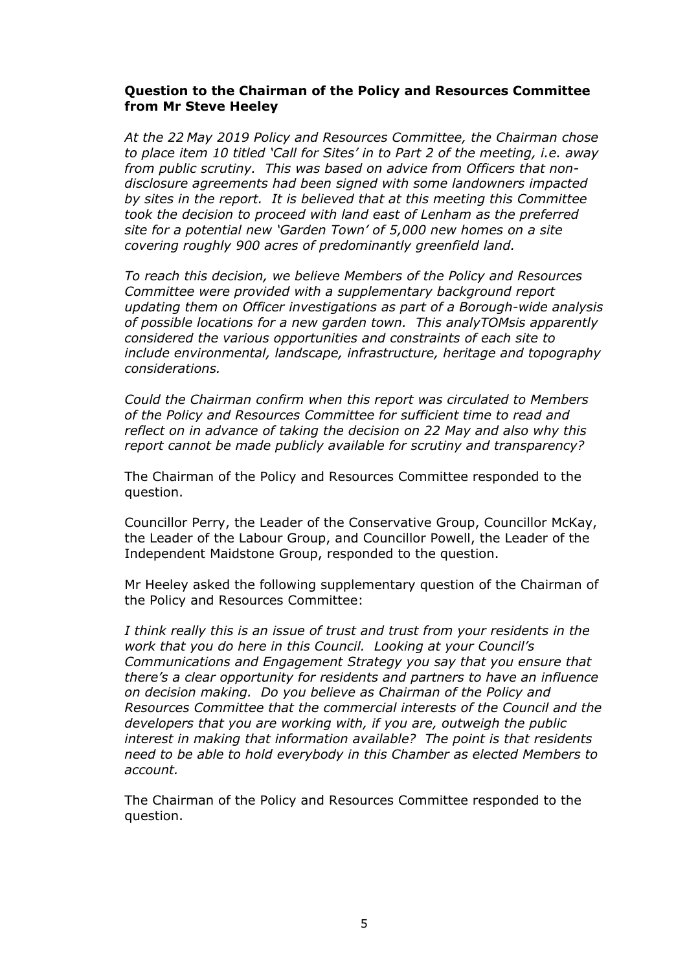# **Question to the Chairman of the Policy and Resources Committee from Mr Steve Heeley**

*At the 22 May 2019 Policy and Resources Committee, the Chairman chose to place item 10 titled 'Call for Sites' in to Part 2 of the meeting, i.e. away from public scrutiny. This was based on advice from Officers that nondisclosure agreements had been signed with some landowners impacted by sites in the report. It is believed that at this meeting this Committee took the decision to proceed with land east of Lenham as the preferred site for a potential new 'Garden Town' of 5,000 new homes on a site covering roughly 900 acres of predominantly greenfield land.*

*To reach this decision, we believe Members of the Policy and Resources Committee were provided with a supplementary background report updating them on Officer investigations as part of a Borough-wide analysis of possible locations for a new garden town. This analyTOMsis apparently considered the various opportunities and constraints of each site to include environmental, landscape, infrastructure, heritage and topography considerations.*

*Could the Chairman confirm when this report was circulated to Members of the Policy and Resources Committee for sufficient time to read and reflect on in advance of taking the decision on 22 May and also why this report cannot be made publicly available for scrutiny and transparency?*

The Chairman of the Policy and Resources Committee responded to the question.

Councillor Perry, the Leader of the Conservative Group, Councillor McKay, the Leader of the Labour Group, and Councillor Powell, the Leader of the Independent Maidstone Group, responded to the question.

Mr Heeley asked the following supplementary question of the Chairman of the Policy and Resources Committee:

*I think really this is an issue of trust and trust from your residents in the work that you do here in this Council. Looking at your Council's Communications and Engagement Strategy you say that you ensure that there's a clear opportunity for residents and partners to have an influence on decision making. Do you believe as Chairman of the Policy and Resources Committee that the commercial interests of the Council and the developers that you are working with, if you are, outweigh the public interest in making that information available? The point is that residents need to be able to hold everybody in this Chamber as elected Members to account.*

The Chairman of the Policy and Resources Committee responded to the question.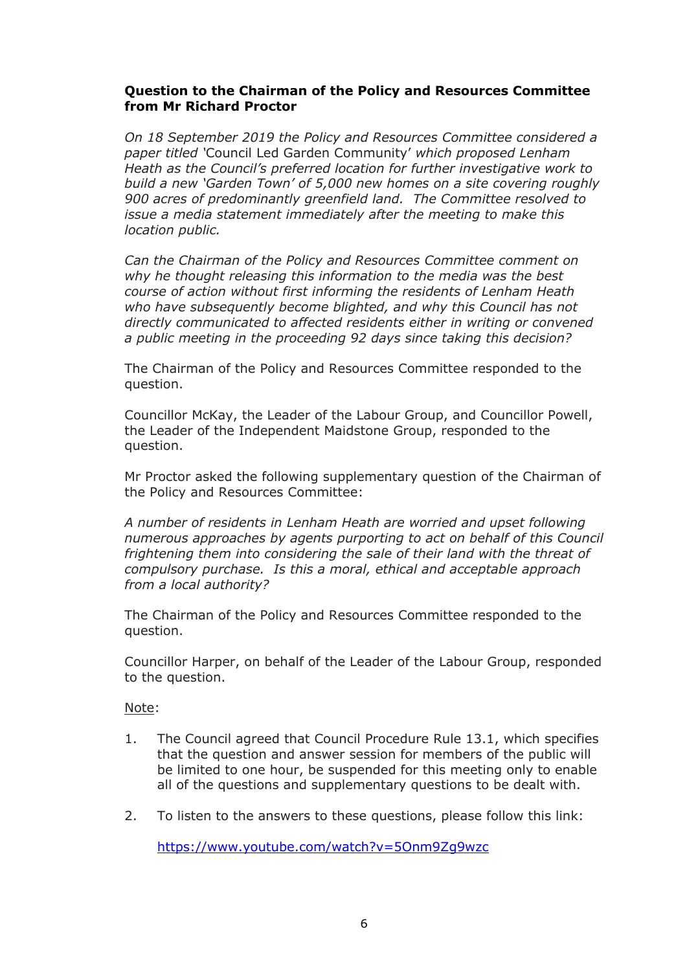# **Question to the Chairman of the Policy and Resources Committee from Mr Richard Proctor**

*On 18 September 2019 the Policy and Resources Committee considered a paper titled '*Council Led Garden Community' *which proposed Lenham Heath as the Council's preferred location for further investigative work to build a new 'Garden Town' of 5,000 new homes on a site covering roughly 900 acres of predominantly greenfield land. The Committee resolved to issue a media statement immediately after the meeting to make this location public.*

*Can the Chairman of the Policy and Resources Committee comment on why he thought releasing this information to the media was the best course of action without first informing the residents of Lenham Heath who have subsequently become blighted, and why this Council has not directly communicated to affected residents either in writing or convened a public meeting in the proceeding 92 days since taking this decision?*

The Chairman of the Policy and Resources Committee responded to the question.

Councillor McKay, the Leader of the Labour Group, and Councillor Powell, the Leader of the Independent Maidstone Group, responded to the question.

Mr Proctor asked the following supplementary question of the Chairman of the Policy and Resources Committee:

*A number of residents in Lenham Heath are worried and upset following numerous approaches by agents purporting to act on behalf of this Council frightening them into considering the sale of their land with the threat of compulsory purchase. Is this a moral, ethical and acceptable approach from a local authority?*

The Chairman of the Policy and Resources Committee responded to the question.

Councillor Harper, on behalf of the Leader of the Labour Group, responded to the question.

Note:

- 1. The Council agreed that Council Procedure Rule 13.1, which specifies that the question and answer session for members of the public will be limited to one hour, be suspended for this meeting only to enable all of the questions and supplementary questions to be dealt with.
- 2. To listen to the answers to these questions, please follow this link:

<https://www.youtube.com/watch?v=5Onm9Zg9wzc>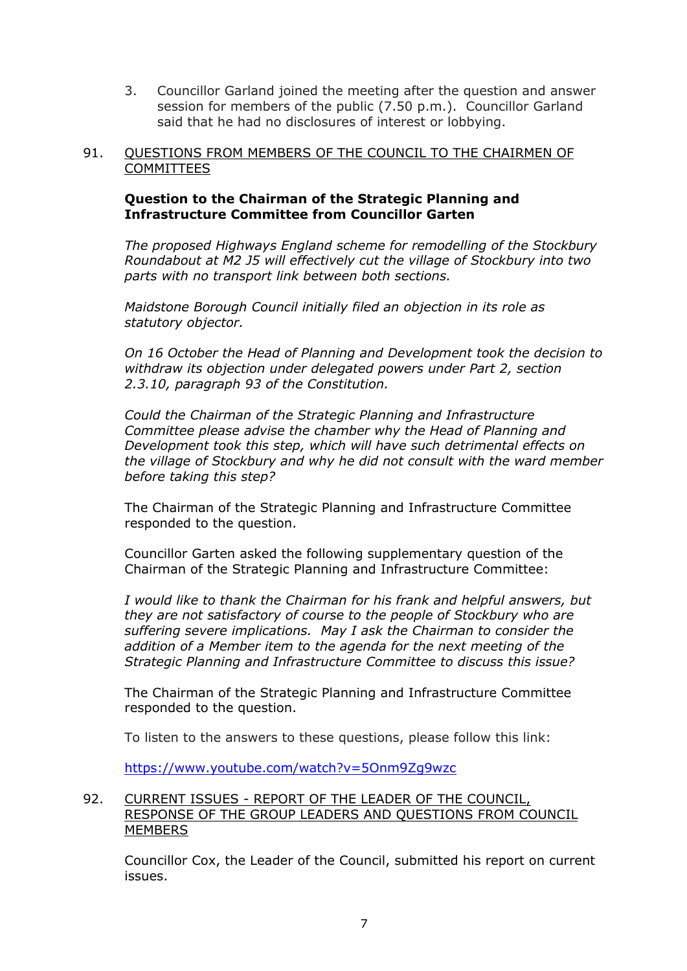3. Councillor Garland joined the meeting after the question and answer session for members of the public (7.50 p.m.). Councillor Garland said that he had no disclosures of interest or lobbying.

# 91. QUESTIONS FROM MEMBERS OF THE COUNCIL TO THE CHAIRMEN OF COMMITTEES

# **Question to the Chairman of the Strategic Planning and Infrastructure Committee from Councillor Garten**

*The proposed Highways England scheme for remodelling of the Stockbury Roundabout at M2 J5 will effectively cut the village of Stockbury into two parts with no transport link between both sections.*

*Maidstone Borough Council initially filed an objection in its role as statutory objector.*

*On 16 October the Head of Planning and Development took the decision to withdraw its objection under delegated powers under Part 2, section 2.3.10, paragraph 93 of the Constitution.*

*Could the Chairman of the Strategic Planning and Infrastructure Committee please advise the chamber why the Head of Planning and Development took this step, which will have such detrimental effects on the village of Stockbury and why he did not consult with the ward member before taking this step?*

The Chairman of the Strategic Planning and Infrastructure Committee responded to the question.

Councillor Garten asked the following supplementary question of the Chairman of the Strategic Planning and Infrastructure Committee:

*I would like to thank the Chairman for his frank and helpful answers, but they are not satisfactory of course to the people of Stockbury who are suffering severe implications. May I ask the Chairman to consider the addition of a Member item to the agenda for the next meeting of the Strategic Planning and Infrastructure Committee to discuss this issue?*

The Chairman of the Strategic Planning and Infrastructure Committee responded to the question.

To listen to the answers to these questions, please follow this link:

<https://www.youtube.com/watch?v=5Onm9Zg9wzc>

# 92. CURRENT ISSUES - REPORT OF THE LEADER OF THE COUNCIL, RESPONSE OF THE GROUP LEADERS AND QUESTIONS FROM COUNCIL **MEMBERS**

Councillor Cox, the Leader of the Council, submitted his report on current issues.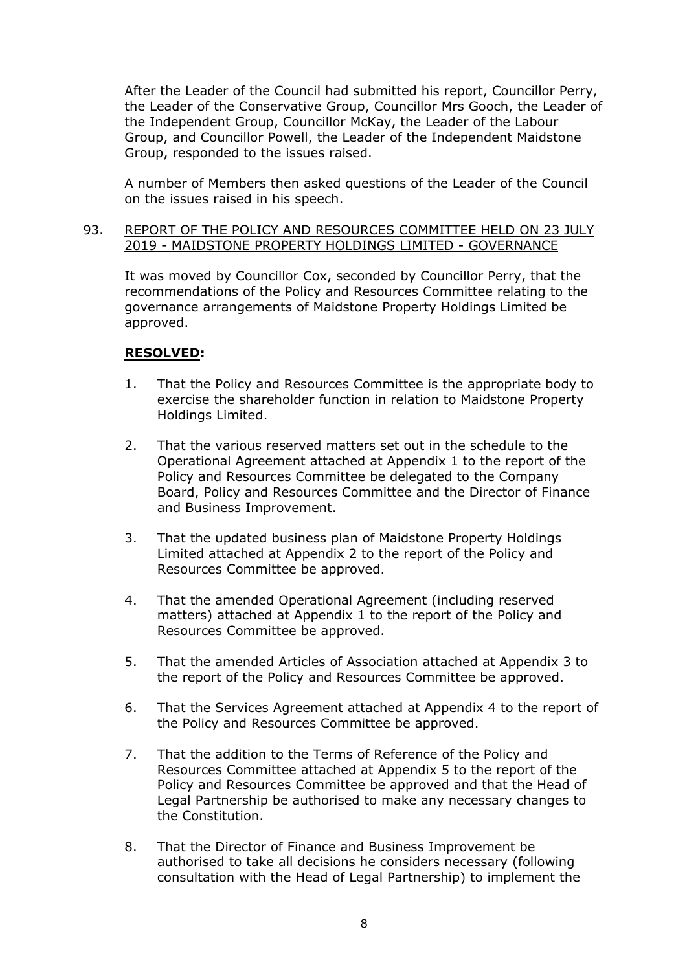After the Leader of the Council had submitted his report, Councillor Perry, the Leader of the Conservative Group, Councillor Mrs Gooch, the Leader of the Independent Group, Councillor McKay, the Leader of the Labour Group, and Councillor Powell, the Leader of the Independent Maidstone Group, responded to the issues raised.

A number of Members then asked questions of the Leader of the Council on the issues raised in his speech.

### 93. REPORT OF THE POLICY AND RESOURCES COMMITTEE HELD ON 23 JULY 2019 - MAIDSTONE PROPERTY HOLDINGS LIMITED - GOVERNANCE

It was moved by Councillor Cox, seconded by Councillor Perry, that the recommendations of the Policy and Resources Committee relating to the governance arrangements of Maidstone Property Holdings Limited be approved.

# **RESOLVED:**

- 1. That the Policy and Resources Committee is the appropriate body to exercise the shareholder function in relation to Maidstone Property Holdings Limited.
- 2. That the various reserved matters set out in the schedule to the Operational Agreement attached at Appendix 1 to the report of the Policy and Resources Committee be delegated to the Company Board, Policy and Resources Committee and the Director of Finance and Business Improvement.
- 3. That the updated business plan of Maidstone Property Holdings Limited attached at Appendix 2 to the report of the Policy and Resources Committee be approved.
- 4. That the amended Operational Agreement (including reserved matters) attached at Appendix 1 to the report of the Policy and Resources Committee be approved.
- 5. That the amended Articles of Association attached at Appendix 3 to the report of the Policy and Resources Committee be approved.
- 6. That the Services Agreement attached at Appendix 4 to the report of the Policy and Resources Committee be approved.
- 7. That the addition to the Terms of Reference of the Policy and Resources Committee attached at Appendix 5 to the report of the Policy and Resources Committee be approved and that the Head of Legal Partnership be authorised to make any necessary changes to the Constitution.
- 8. That the Director of Finance and Business Improvement be authorised to take all decisions he considers necessary (following consultation with the Head of Legal Partnership) to implement the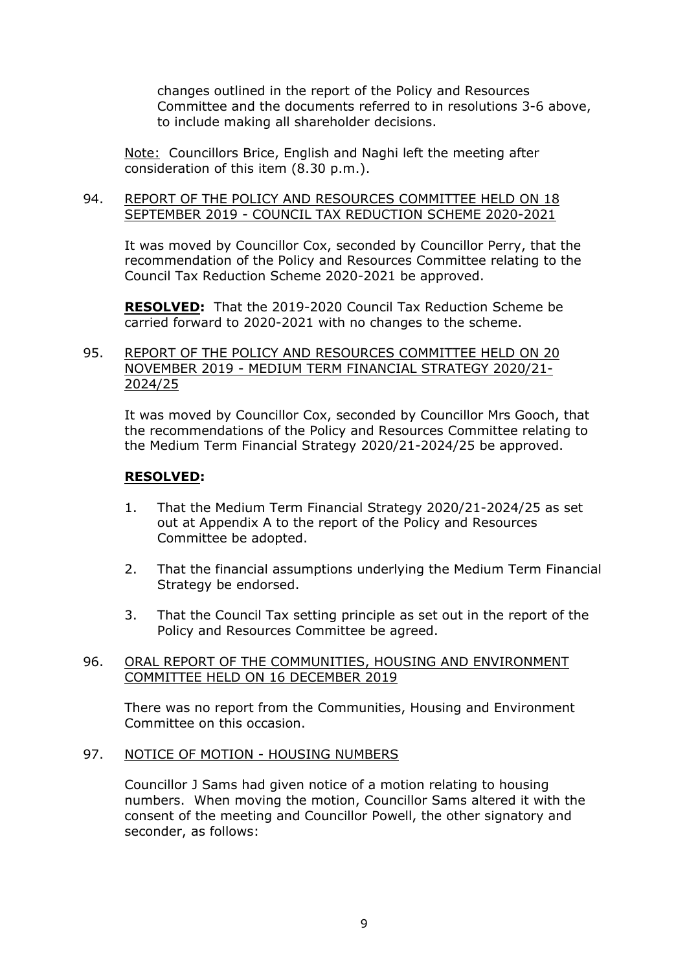changes outlined in the report of the Policy and Resources Committee and the documents referred to in resolutions 3-6 above, to include making all shareholder decisions.

Note: Councillors Brice, English and Naghi left the meeting after consideration of this item (8.30 p.m.).

#### 94. REPORT OF THE POLICY AND RESOURCES COMMITTEE HELD ON 18 SEPTEMBER 2019 - COUNCIL TAX REDUCTION SCHEME 2020-2021

It was moved by Councillor Cox, seconded by Councillor Perry, that the recommendation of the Policy and Resources Committee relating to the Council Tax Reduction Scheme 2020-2021 be approved.

**RESOLVED:** That the 2019-2020 Council Tax Reduction Scheme be carried forward to 2020-2021 with no changes to the scheme.

# 95. REPORT OF THE POLICY AND RESOURCES COMMITTEE HELD ON 20 NOVEMBER 2019 - MEDIUM TERM FINANCIAL STRATEGY 2020/21- 2024/25

It was moved by Councillor Cox, seconded by Councillor Mrs Gooch, that the recommendations of the Policy and Resources Committee relating to the Medium Term Financial Strategy 2020/21-2024/25 be approved.

# **RESOLVED:**

- 1. That the Medium Term Financial Strategy 2020/21-2024/25 as set out at Appendix A to the report of the Policy and Resources Committee be adopted.
- 2. That the financial assumptions underlying the Medium Term Financial Strategy be endorsed.
- 3. That the Council Tax setting principle as set out in the report of the Policy and Resources Committee be agreed.

### 96. ORAL REPORT OF THE COMMUNITIES, HOUSING AND ENVIRONMENT COMMITTEE HELD ON 16 DECEMBER 2019

There was no report from the Communities, Housing and Environment Committee on this occasion.

### 97. NOTICE OF MOTION - HOUSING NUMBERS

Councillor J Sams had given notice of a motion relating to housing numbers. When moving the motion, Councillor Sams altered it with the consent of the meeting and Councillor Powell, the other signatory and seconder, as follows: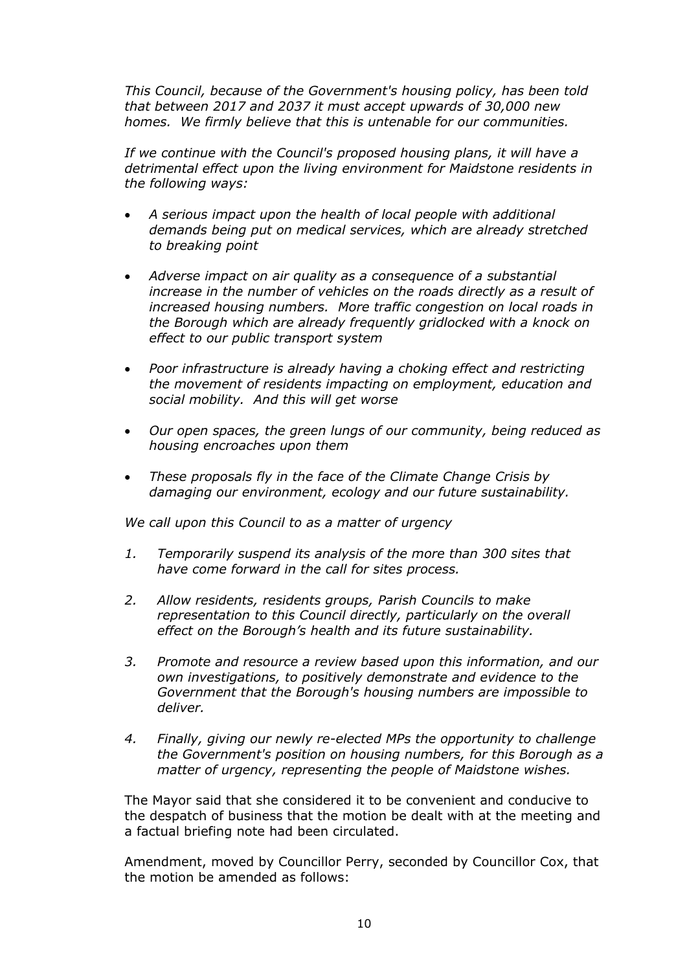*This Council, because of the Government's housing policy, has been told that between 2017 and 2037 it must accept upwards of 30,000 new homes. We firmly believe that this is untenable for our communities.*

*If we continue with the Council's proposed housing plans, it will have a detrimental effect upon the living environment for Maidstone residents in the following ways:*

- *A serious impact upon the health of local people with additional demands being put on medical services, which are already stretched to breaking point*
- *Adverse impact on air quality as a consequence of a substantial increase in the number of vehicles on the roads directly as a result of increased housing numbers. More traffic congestion on local roads in the Borough which are already frequently gridlocked with a knock on effect to our public transport system*
- *Poor infrastructure is already having a choking effect and restricting the movement of residents impacting on employment, education and social mobility. And this will get worse*
- *Our open spaces, the green lungs of our community, being reduced as housing encroaches upon them*
- *These proposals fly in the face of the Climate Change Crisis by damaging our environment, ecology and our future sustainability.*

*We call upon this Council to as a matter of urgency*

- *1. Temporarily suspend its analysis of the more than 300 sites that have come forward in the call for sites process.*
- *2. Allow residents, residents groups, Parish Councils to make representation to this Council directly, particularly on the overall effect on the Borough's health and its future sustainability.*
- *3. Promote and resource a review based upon this information, and our own investigations, to positively demonstrate and evidence to the Government that the Borough's housing numbers are impossible to deliver.*
- *4. Finally, giving our newly re-elected MPs the opportunity to challenge the Government's position on housing numbers, for this Borough as a matter of urgency, representing the people of Maidstone wishes.*

The Mayor said that she considered it to be convenient and conducive to the despatch of business that the motion be dealt with at the meeting and a factual briefing note had been circulated.

Amendment, moved by Councillor Perry, seconded by Councillor Cox, that the motion be amended as follows: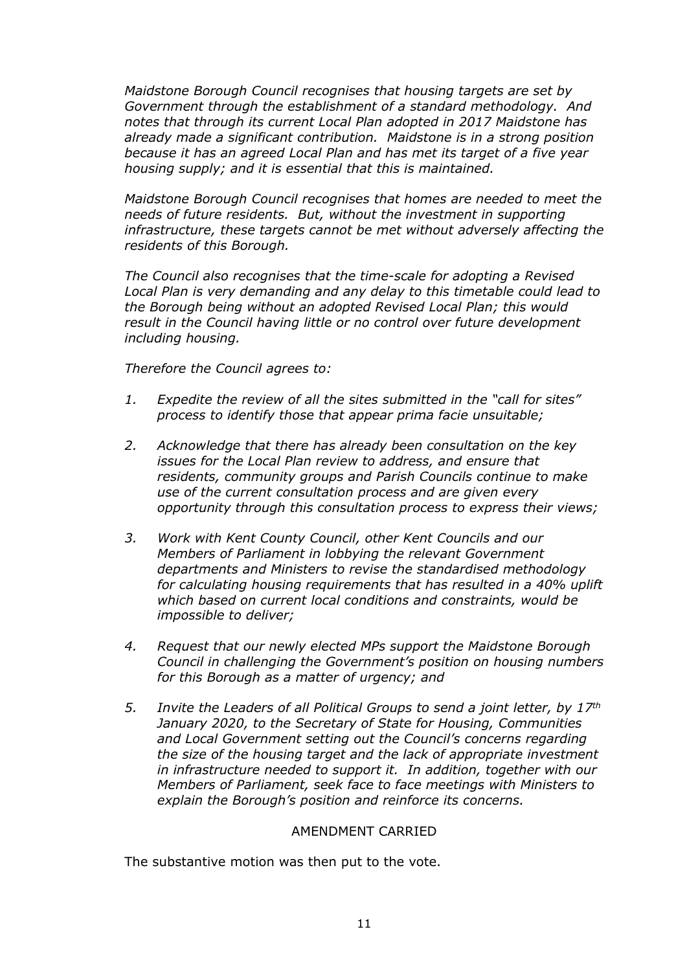*Maidstone Borough Council recognises that housing targets are set by Government through the establishment of a standard methodology. And notes that through its current Local Plan adopted in 2017 Maidstone has already made a significant contribution. Maidstone is in a strong position because it has an agreed Local Plan and has met its target of a five year housing supply; and it is essential that this is maintained.*

*Maidstone Borough Council recognises that homes are needed to meet the needs of future residents. But, without the investment in supporting infrastructure, these targets cannot be met without adversely affecting the residents of this Borough.*

*The Council also recognises that the time-scale for adopting a Revised Local Plan is very demanding and any delay to this timetable could lead to the Borough being without an adopted Revised Local Plan; this would result in the Council having little or no control over future development including housing.*

*Therefore the Council agrees to:*

- *1. Expedite the review of all the sites submitted in the "call for sites" process to identify those that appear prima facie unsuitable;*
- *2. Acknowledge that there has already been consultation on the key issues for the Local Plan review to address, and ensure that residents, community groups and Parish Councils continue to make use of the current consultation process and are given every opportunity through this consultation process to express their views;*
- *3. Work with Kent County Council, other Kent Councils and our Members of Parliament in lobbying the relevant Government departments and Ministers to revise the standardised methodology for calculating housing requirements that has resulted in a 40% uplift which based on current local conditions and constraints, would be impossible to deliver;*
- *4. Request that our newly elected MPs support the Maidstone Borough Council in challenging the Government's position on housing numbers for this Borough as a matter of urgency; and*
- *5. Invite the Leaders of all Political Groups to send a joint letter, by 17th January 2020, to the Secretary of State for Housing, Communities and Local Government setting out the Council's concerns regarding the size of the housing target and the lack of appropriate investment in infrastructure needed to support it. In addition, together with our Members of Parliament, seek face to face meetings with Ministers to explain the Borough's position and reinforce its concerns.*

### AMENDMENT CARRIED

The substantive motion was then put to the vote.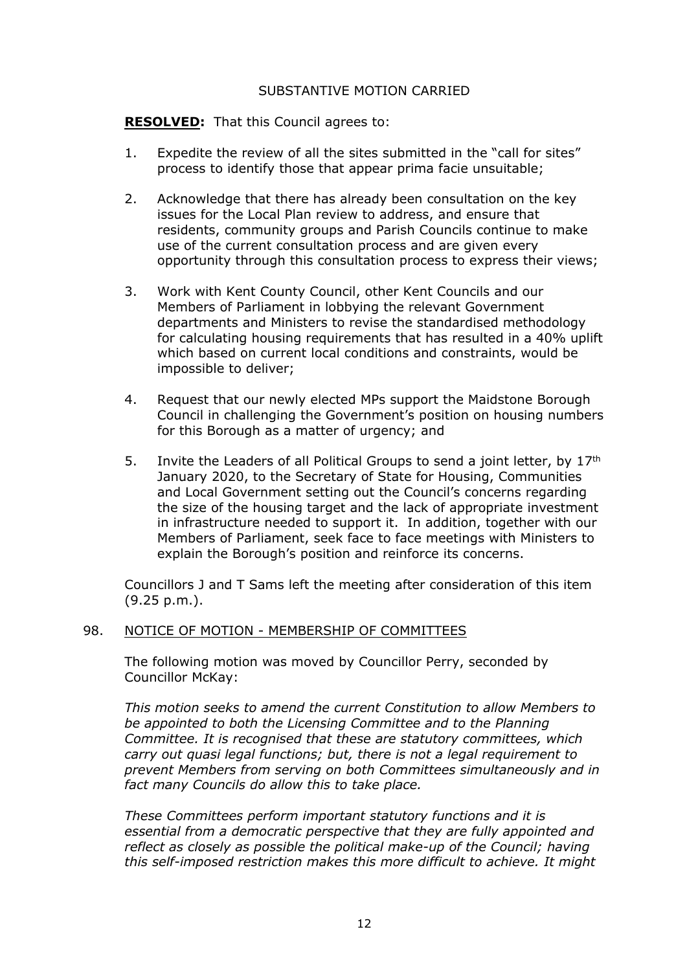# SUBSTANTIVE MOTION CARRIED

**RESOLVED:** That this Council agrees to:

- 1. Expedite the review of all the sites submitted in the "call for sites" process to identify those that appear prima facie unsuitable;
- 2. Acknowledge that there has already been consultation on the key issues for the Local Plan review to address, and ensure that residents, community groups and Parish Councils continue to make use of the current consultation process and are given every opportunity through this consultation process to express their views;
- 3. Work with Kent County Council, other Kent Councils and our Members of Parliament in lobbying the relevant Government departments and Ministers to revise the standardised methodology for calculating housing requirements that has resulted in a 40% uplift which based on current local conditions and constraints, would be impossible to deliver;
- 4. Request that our newly elected MPs support the Maidstone Borough Council in challenging the Government's position on housing numbers for this Borough as a matter of urgency; and
- 5. Invite the Leaders of all Political Groups to send a joint letter, by 17th January 2020, to the Secretary of State for Housing, Communities and Local Government setting out the Council's concerns regarding the size of the housing target and the lack of appropriate investment in infrastructure needed to support it. In addition, together with our Members of Parliament, seek face to face meetings with Ministers to explain the Borough's position and reinforce its concerns.

Councillors J and T Sams left the meeting after consideration of this item (9.25 p.m.).

# 98. NOTICE OF MOTION - MEMBERSHIP OF COMMITTEES

The following motion was moved by Councillor Perry, seconded by Councillor McKay:

*This motion seeks to amend the current Constitution to allow Members to be appointed to both the Licensing Committee and to the Planning Committee. It is recognised that these are statutory committees, which carry out quasi legal functions; but, there is not a legal requirement to prevent Members from serving on both Committees simultaneously and in fact many Councils do allow this to take place.*

*These Committees perform important statutory functions and it is essential from a democratic perspective that they are fully appointed and reflect as closely as possible the political make-up of the Council; having this self-imposed restriction makes this more difficult to achieve. It might*